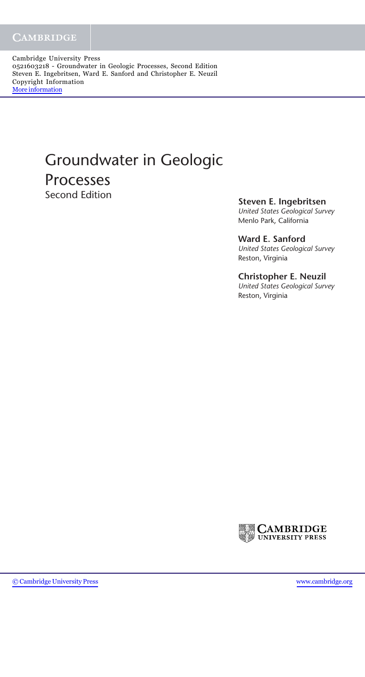Cambridge University Press 0521603218 - Groundwater in Geologic Processes, Second Edition Steven E. Ingebritsen, Ward E. Sanford and Christopher E. Neuzil Copyright Information [More information](http://www.cambridge.org/0521603218)

## Groundwater in Geologic **Processes**<br>Second Edition

**Steven E. Ingebritsen** 

*United States Geological Survey* Menlo Park, California

**Ward E. Sanford** *United States Geological Survey* Reston, Virginia

## **Christopher E. Neuzil**

*United States Geological Survey* Reston, Virginia